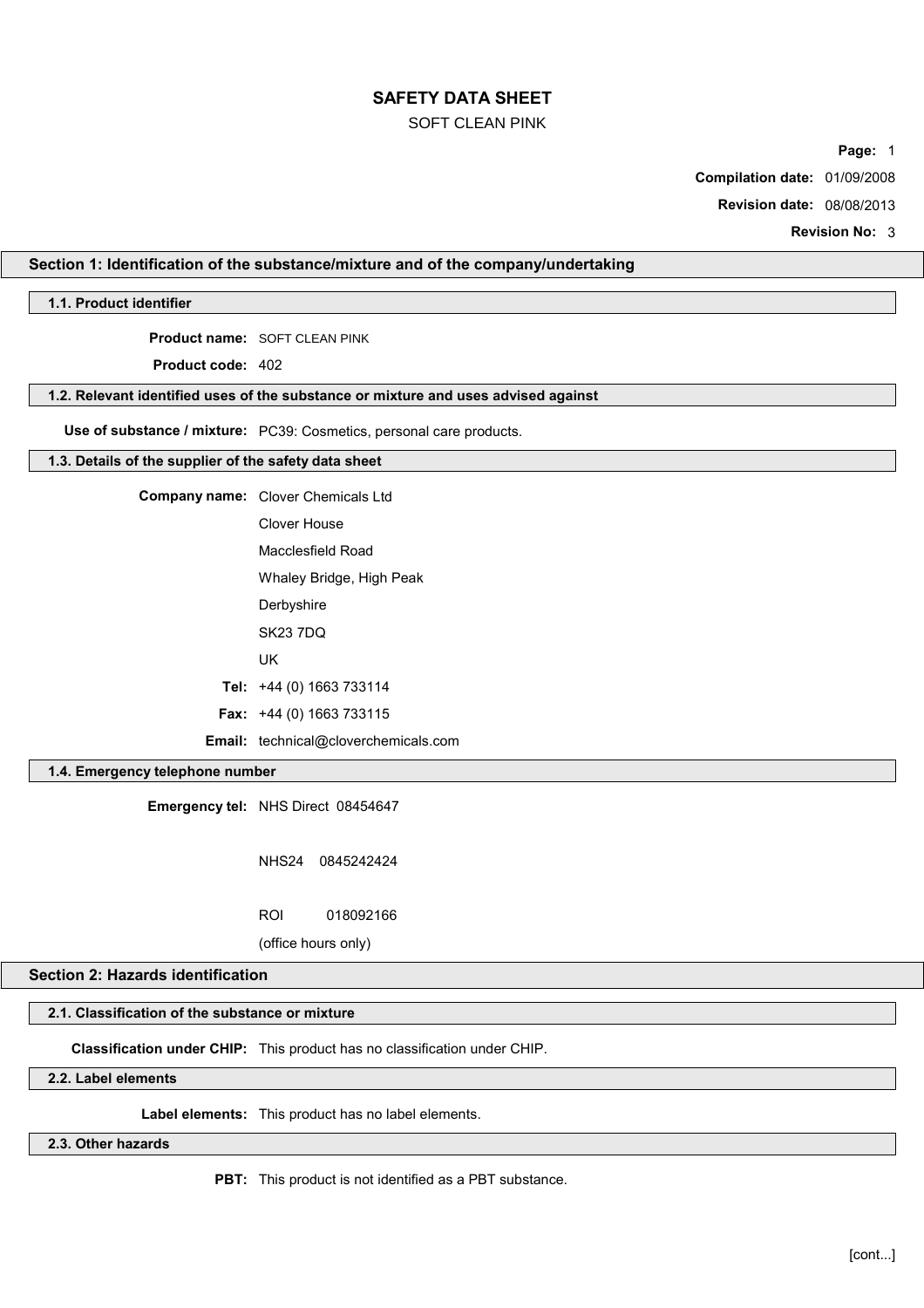## SOFT CLEAN PINK

**Page:** 1

**Compilation date:** 01/09/2008

**Revision date:** 08/08/2013

**Revision No:** 3

# **Section 1: Identification of the substance/mixture and of the company/undertaking**

# **1.1. Product identifier**

**Product name:** SOFT CLEAN PINK

**Product code:** 402

#### **1.2. Relevant identified uses of the substance or mixture and uses advised against**

**Use of substance / mixture:** PC39: Cosmetics, personal care products.

#### **1.3. Details of the supplier of the safety data sheet**

**Company name:** Clover Chemicals Ltd Clover House Macclesfield Road Whaley Bridge, High Peak

**Derbyshire** 

SK23 7DQ

UK

**Tel:** +44 (0) 1663 733114

**Fax:** +44 (0) 1663 733115

**Email:** technical@cloverchemicals.com

# **1.4. Emergency telephone number**

**Emergency tel:** NHS Direct 08454647

NHS24 0845242424

ROI 018092166

(office hours only)

# **Section 2: Hazards identification**

# **2.1. Classification of the substance or mixture**

**Classification under CHIP:** This product has no classification under CHIP.

# **2.2. Label elements**

**Label elements:** This product has no label elements.

# **2.3. Other hazards**

**PBT:** This product is not identified as a PBT substance.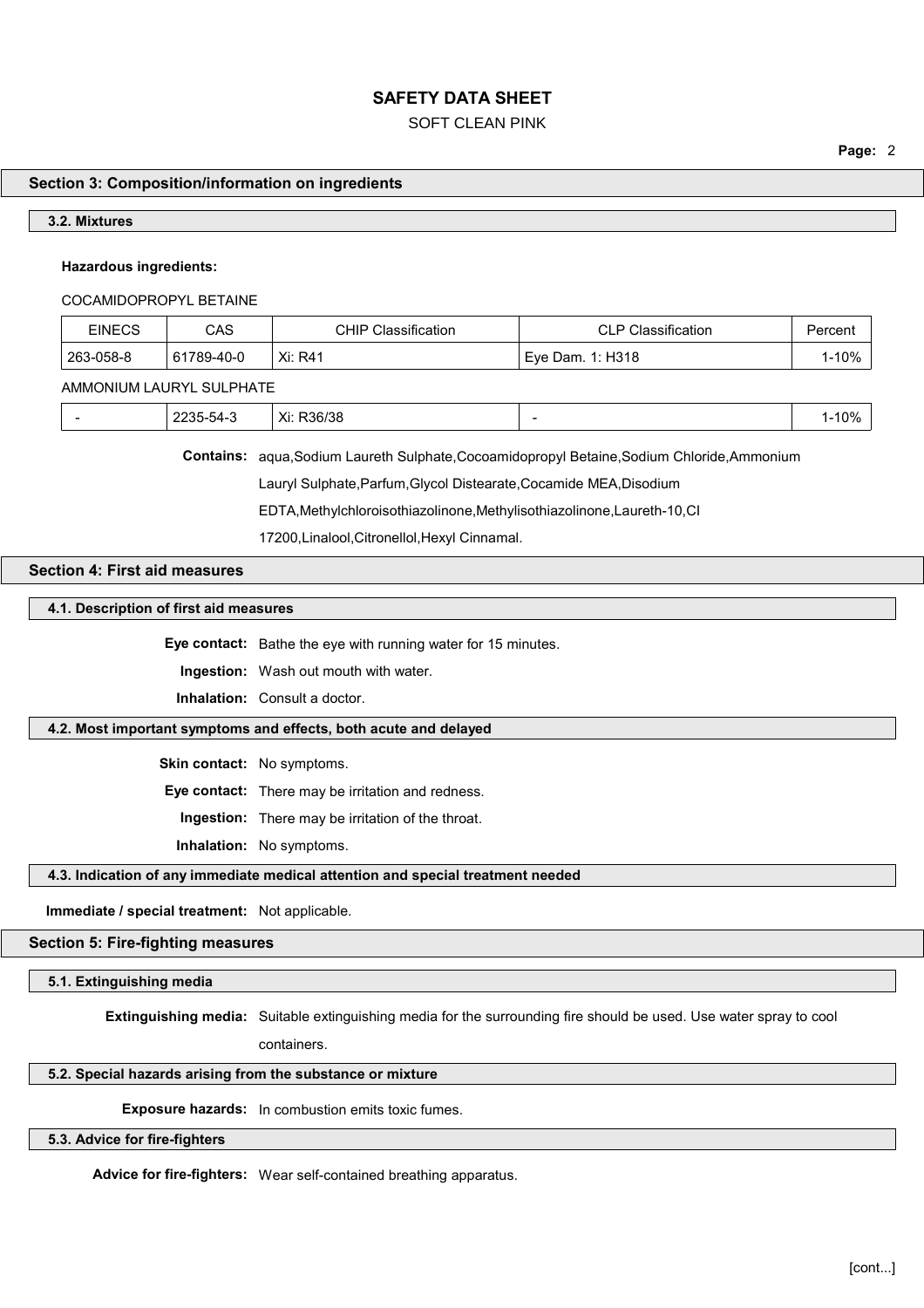### SOFT CLEAN PINK

**Page:** 2

# **Section 3: Composition/information on ingredients**

#### **3.2. Mixtures**

### **Hazardous ingredients:**

#### COCAMIDOPROPYL BETAINE

| <b>EINECS</b> | CAS        | CHIP Classification | <b>CLP Classification</b> | Percent   |
|---------------|------------|---------------------|---------------------------|-----------|
| 263-058-8     | 61789-40-0 | Xi: R41             | Eve Dam. 1: H318          | $1 - 10%$ |
|               |            |                     |                           |           |

AMMONIUM LAURYL SULPHATE

| Xi:<br>ົ<br>.,<br>וחר.<br>OС<br>. | 100/<br>$\sim$ $\sim$ $\sim$ |
|-----------------------------------|------------------------------|
|-----------------------------------|------------------------------|

**Contains:** aqua,Sodium Laureth Sulphate,Cocoamidopropyl Betaine,Sodium Chloride,Ammonium

Lauryl Sulphate,Parfum,Glycol Distearate,Cocamide MEA,Disodium

EDTA,Methylchloroisothiazolinone,Methylisothiazolinone,Laureth-10,CI

17200,Linalool,Citronellol,Hexyl Cinnamal.

# **Section 4: First aid measures**

#### **4.1. Description of first aid measures**

**Eye contact:** Bathe the eye with running water for 15 minutes.

**Ingestion:** Wash out mouth with water.

**Inhalation:** Consult a doctor.

## **4.2. Most important symptoms and effects, both acute and delayed**

**Skin contact:** No symptoms.

**Eye contact:** There may be irritation and redness.

**Ingestion:** There may be irritation of the throat.

**Inhalation:** No symptoms.

### **4.3. Indication of any immediate medical attention and special treatment needed**

**Immediate / special treatment:** Not applicable.

## **Section 5: Fire-fighting measures**

**5.1. Extinguishing media**

**Extinguishing media:** Suitable extinguishing media for the surrounding fire should be used. Use water spray to cool

containers.

# **5.2. Special hazards arising from the substance or mixture**

**Exposure hazards:** In combustion emits toxic fumes.

# **5.3. Advice for fire-fighters**

**Advice for fire-fighters:** Wear self-contained breathing apparatus.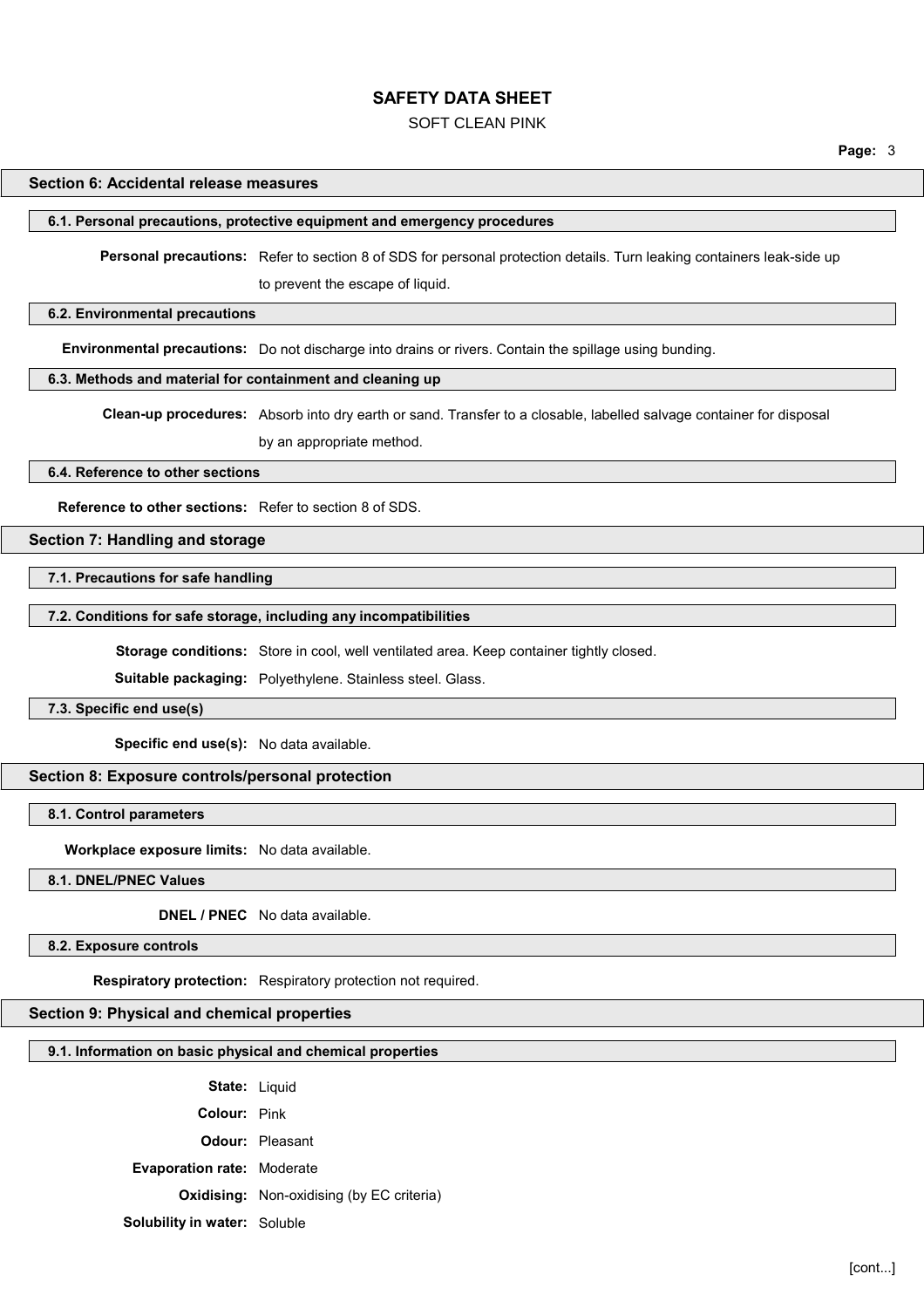### SOFT CLEAN PINK

#### **Section 6: Accidental release measures**

#### **6.1. Personal precautions, protective equipment and emergency procedures**

**Personal precautions:** Refer to section 8 of SDS for personal protection details. Turn leaking containers leak-side up

to prevent the escape of liquid.

### **6.2. Environmental precautions**

**Environmental precautions:** Do not discharge into drains or rivers. Contain the spillage using bunding.

#### **6.3. Methods and material for containment and cleaning up**

**Clean-up procedures:** Absorb into dry earth or sand. Transfer to a closable, labelled salvage container for disposal

by an appropriate method.

**6.4. Reference to other sections**

**Reference to other sections:** Refer to section 8 of SDS.

### **Section 7: Handling and storage**

**7.1. Precautions for safe handling**

**7.2. Conditions for safe storage, including any incompatibilities**

**Storage conditions:** Store in cool, well ventilated area. Keep container tightly closed.

**Suitable packaging:** Polyethylene. Stainless steel. Glass.

**7.3. Specific end use(s)**

**Specific end use(s):** No data available.

**Section 8: Exposure controls/personal protection**

**8.1. Control parameters**

**Workplace exposure limits:** No data available.

**8.1. DNEL/PNEC Values**

**DNEL / PNEC** No data available.

**8.2. Exposure controls**

**Respiratory protection:** Respiratory protection not required.

# **Section 9: Physical and chemical properties**

#### **9.1. Information on basic physical and chemical properties**

State: Liquid

**Colour:** Pink

**Odour:** Pleasant

**Evaporation rate:** Moderate

**Oxidising:** Non-oxidising (by EC criteria)

**Solubility in water:** Soluble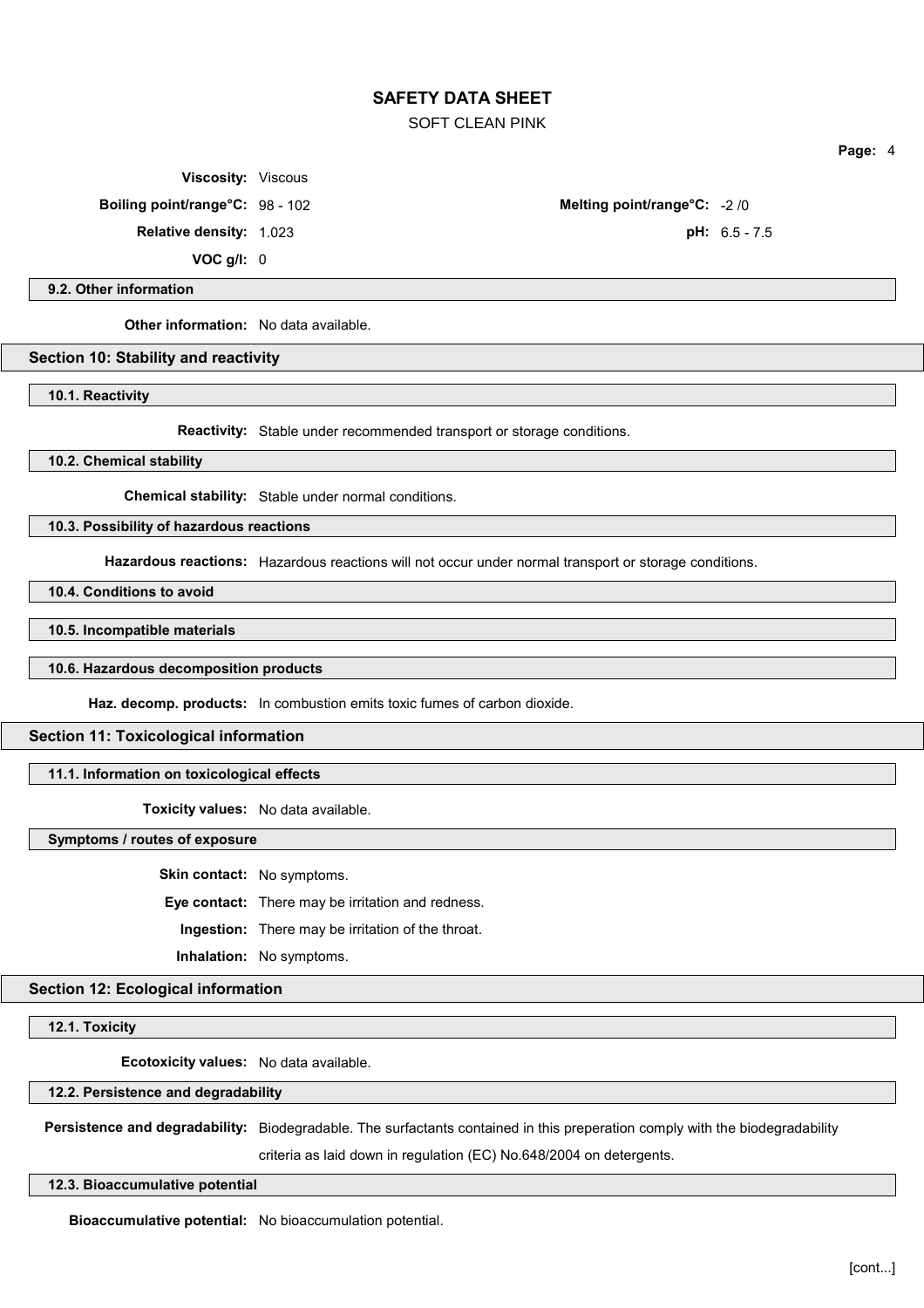SOFT CLEAN PINK

**Viscosity:** Viscous

**Relative density:** 1.023 **pH:** 6.5 - 7.5

**VOC g/l:** 0

**Boiling point/range°C:** 98 - 102 **Melting point/range°C:** -2 /0

**Page:** 4

**9.2. Other information**

**Other information:** No data available.

**Section 10: Stability and reactivity**

**10.1. Reactivity**

**Reactivity:** Stable under recommended transport or storage conditions.

**10.2. Chemical stability**

**Chemical stability:** Stable under normal conditions.

**10.3. Possibility of hazardous reactions**

**Hazardous reactions:** Hazardous reactions will not occur under normal transport or storage conditions.

**10.4. Conditions to avoid**

**10.5. Incompatible materials**

**10.6. Hazardous decomposition products**

**Haz. decomp. products:** In combustion emits toxic fumes of carbon dioxide.

#### **Section 11: Toxicological information**

### **11.1. Information on toxicological effects**

**Toxicity values:** No data available.

**Symptoms / routes of exposure**

**Skin contact:** No symptoms.

**Eye contact:** There may be irritation and redness.

**Ingestion:** There may be irritation of the throat.

**Inhalation:** No symptoms.

**Section 12: Ecological information**

**12.1. Toxicity**

**Ecotoxicity values:** No data available.

#### **12.2. Persistence and degradability**

**Persistence and degradability:** Biodegradable. The surfactants contained in this preperation comply with the biodegradability

criteria as laid down in regulation (EC) No.648/2004 on detergents.

### **12.3. Bioaccumulative potential**

**Bioaccumulative potential:** No bioaccumulation potential.